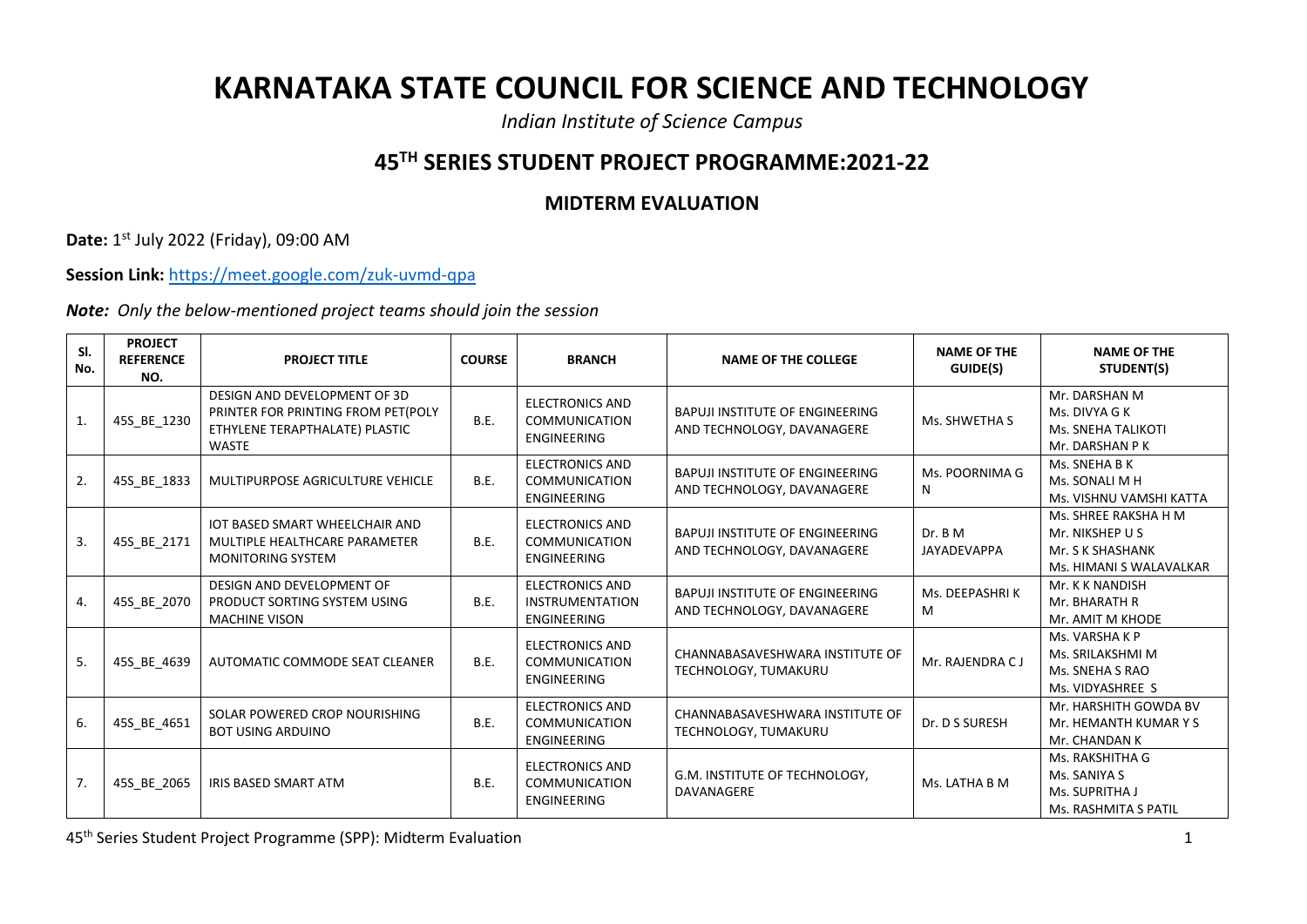## **KARNATAKA STATE COUNCIL FOR SCIENCE AND TECHNOLOGY**

*Indian Institute of Science Campus*

## **45TH SERIES STUDENT PROJECT PROGRAMME:2021-22**

## **MIDTERM EVALUATION**

**Date:** 1 st July 2022 (Friday), 09:00 AM

**Session Link:** <https://meet.google.com/zuk-uvmd-qpa>

*Note: Only the below-mentioned project teams should join the session*

| SI.<br>No. | <b>PROJECT</b><br><b>REFERENCE</b><br>NO. | <b>PROJECT TITLE</b>                                                                                                 | <b>COURSE</b> | <b>BRANCH</b>                                                          | <b>NAME OF THE COLLEGE</b>                                           | <b>NAME OF THE</b><br>GUIDE(S) | <b>NAME OF THE</b><br>STUDENT(S)                                                       |
|------------|-------------------------------------------|----------------------------------------------------------------------------------------------------------------------|---------------|------------------------------------------------------------------------|----------------------------------------------------------------------|--------------------------------|----------------------------------------------------------------------------------------|
| 1.         | 45S_BE_1230                               | DESIGN AND DEVELOPMENT OF 3D<br>PRINTER FOR PRINTING FROM PET(POLY<br>ETHYLENE TERAPTHALATE) PLASTIC<br><b>WASTE</b> | <b>B.E.</b>   | <b>ELECTRONICS AND</b><br><b>COMMUNICATION</b><br><b>ENGINEERING</b>   | <b>BAPUJI INSTITUTE OF ENGINEERING</b><br>AND TECHNOLOGY, DAVANAGERE | Ms. SHWETHA S                  | Mr. DARSHAN M<br>Ms. DIVYA G K<br>Ms. SNEHA TALIKOTI<br>Mr. DARSHAN P K                |
| 2.         | 45S_BE_1833                               | MULTIPURPOSE AGRICULTURE VEHICLE                                                                                     | <b>B.E.</b>   | <b>ELECTRONICS AND</b><br><b>COMMUNICATION</b><br><b>ENGINEERING</b>   | <b>BAPUJI INSTITUTE OF ENGINEERING</b><br>AND TECHNOLOGY, DAVANAGERE | Ms. POORNIMA G<br>N            | Ms. SNEHA B K<br>Ms. SONALI M H<br>Ms. VISHNU VAMSHI KATTA                             |
| 3.         | 45S_BE_2171                               | <b>IOT BASED SMART WHEELCHAIR AND</b><br>MULTIPLE HEALTHCARE PARAMETER<br><b>MONITORING SYSTEM</b>                   | <b>B.E.</b>   | <b>ELECTRONICS AND</b><br><b>COMMUNICATION</b><br><b>ENGINEERING</b>   | <b>BAPUJI INSTITUTE OF ENGINEERING</b><br>AND TECHNOLOGY, DAVANAGERE | Dr. B M<br><b>JAYADEVAPPA</b>  | Ms. SHREE RAKSHA H M<br>Mr. NIKSHEP U S<br>Mr. S K SHASHANK<br>Ms. HIMANI S WALAVALKAR |
| 4.         | 45S_BE_2070                               | DESIGN AND DEVELOPMENT OF<br>PRODUCT SORTING SYSTEM USING<br><b>MACHINE VISON</b>                                    | B.E.          | <b>ELECTRONICS AND</b><br><b>INSTRUMENTATION</b><br><b>ENGINEERING</b> | <b>BAPUJI INSTITUTE OF ENGINEERING</b><br>AND TECHNOLOGY, DAVANAGERE | Ms. DEEPASHRIK<br>M            | Mr. K K NANDISH<br>Mr. BHARATH R<br>Mr. AMIT M KHODE                                   |
| 5.         | 45S BE 4639                               | AUTOMATIC COMMODE SEAT CLEANER                                                                                       | B.E.          | <b>ELECTRONICS AND</b><br><b>COMMUNICATION</b><br><b>ENGINEERING</b>   | CHANNABASAVESHWARA INSTITUTE OF<br>TECHNOLOGY, TUMAKURU              | Mr. RAJENDRA CJ                | Ms. VARSHA K P<br>Ms. SRILAKSHMI M<br>Ms. SNEHA S RAO<br>Ms. VIDYASHREE S              |
| 6.         | 45S_BE_4651                               | SOLAR POWERED CROP NOURISHING<br><b>BOT USING ARDUINO</b>                                                            | <b>B.E.</b>   | <b>ELECTRONICS AND</b><br><b>COMMUNICATION</b><br>ENGINEERING          | CHANNABASAVESHWARA INSTITUTE OF<br>TECHNOLOGY, TUMAKURU              | Dr. D S SURESH                 | Mr. HARSHITH GOWDA BV<br>Mr. HEMANTH KUMAR Y S<br>Mr. CHANDAN K                        |
| 7.         | 45S BE 2065                               | <b>IRIS BASED SMART ATM</b>                                                                                          | <b>B.E.</b>   | <b>ELECTRONICS AND</b><br><b>COMMUNICATION</b><br><b>ENGINEERING</b>   | G.M. INSTITUTE OF TECHNOLOGY,<br>DAVANAGERE                          | Ms. LATHA B M                  | Ms. RAKSHITHA G<br>Ms. SANIYA S<br>Ms. SUPRITHA J<br><b>Ms. RASHMITA S PATIL</b>       |

45th Series Student Project Programme (SPP): Midterm Evaluation 1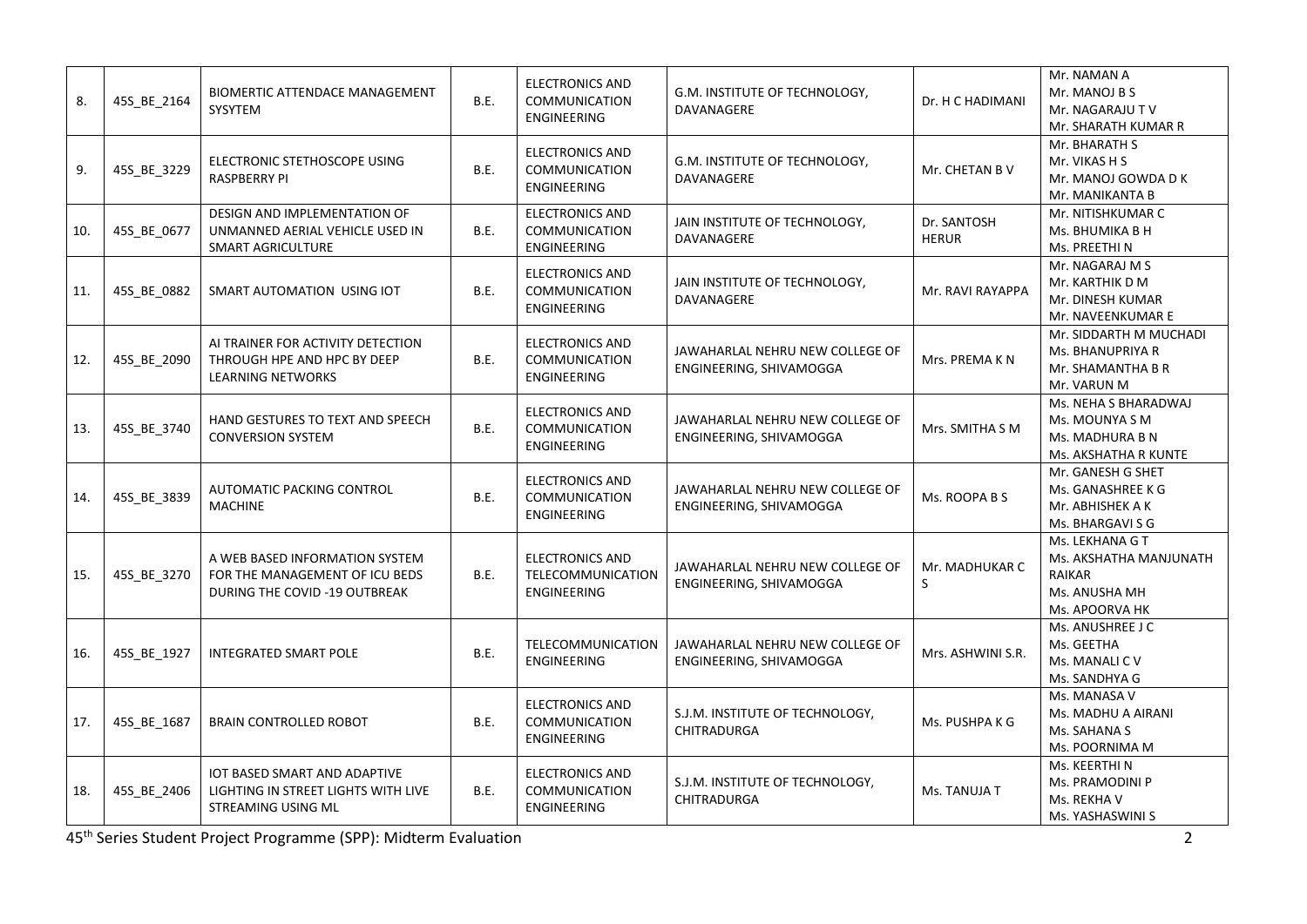| 8.  | 45S_BE_2164 | BIOMERTIC ATTENDACE MANAGEMENT<br>SYSYTEM                                                         | B.E.        | <b>ELECTRONICS AND</b><br><b>COMMUNICATION</b><br>ENGINEERING        | G.M. INSTITUTE OF TECHNOLOGY,<br>DAVANAGERE                | Dr. H C HADIMANI            | Mr. NAMAN A<br>Mr. MANOJ B S<br>Mr. NAGARAJU TV<br>Mr. SHARATH KUMAR R                 |
|-----|-------------|---------------------------------------------------------------------------------------------------|-------------|----------------------------------------------------------------------|------------------------------------------------------------|-----------------------------|----------------------------------------------------------------------------------------|
| 9.  | 45S_BE_3229 | ELECTRONIC STETHOSCOPE USING<br><b>RASPBERRY PI</b>                                               | <b>B.E.</b> | <b>ELECTRONICS AND</b><br><b>COMMUNICATION</b><br><b>ENGINEERING</b> | G.M. INSTITUTE OF TECHNOLOGY,<br>DAVANAGERE                | Mr. CHETAN B V              | Mr. BHARATH S<br>Mr. VIKAS H S<br>Mr. MANOJ GOWDA D K<br>Mr. MANIKANTA B               |
| 10. | 45S_BE_0677 | DESIGN AND IMPLEMENTATION OF<br>UNMANNED AERIAL VEHICLE USED IN<br>SMART AGRICULTURE              | B.E.        | <b>ELECTRONICS AND</b><br><b>COMMUNICATION</b><br><b>ENGINEERING</b> | JAIN INSTITUTE OF TECHNOLOGY,<br>DAVANAGERE                | Dr. SANTOSH<br><b>HERUR</b> | Mr. NITISHKUMAR C<br>Ms. BHUMIKA B H<br>Ms. PREETHI N                                  |
| 11. | 45S_BE_0882 | SMART AUTOMATION USING IOT                                                                        | B.E.        | <b>ELECTRONICS AND</b><br>COMMUNICATION<br>ENGINEERING               | JAIN INSTITUTE OF TECHNOLOGY,<br>DAVANAGERE                | Mr. RAVI RAYAPPA            | Mr. NAGARAJ M S<br>Mr. KARTHIK D M<br>Mr. DINESH KUMAR<br>Mr. NAVEENKUMAR E            |
| 12. | 45S_BE_2090 | AI TRAINER FOR ACTIVITY DETECTION<br>THROUGH HPE AND HPC BY DEEP<br><b>LEARNING NETWORKS</b>      | B.E.        | <b>ELECTRONICS AND</b><br><b>COMMUNICATION</b><br><b>ENGINEERING</b> | JAWAHARLAL NEHRU NEW COLLEGE OF<br>ENGINEERING, SHIVAMOGGA | Mrs. PREMA K N              | Mr. SIDDARTH M MUCHADI<br>Ms. BHANUPRIYA R<br>Mr. SHAMANTHA B R<br>Mr. VARUN M         |
| 13. | 45S BE 3740 | HAND GESTURES TO TEXT AND SPEECH<br><b>CONVERSION SYSTEM</b>                                      | B.E.        | <b>ELECTRONICS AND</b><br><b>COMMUNICATION</b><br>ENGINEERING        | JAWAHARLAL NEHRU NEW COLLEGE OF<br>ENGINEERING, SHIVAMOGGA | Mrs. SMITHA S M             | Ms. NEHA S BHARADWAJ<br>Ms. MOUNYA S M<br>Ms. MADHURA B N<br>Ms. AKSHATHA R KUNTE      |
| 14. | 45S_BE_3839 | AUTOMATIC PACKING CONTROL<br><b>MACHINE</b>                                                       | B.E.        | <b>ELECTRONICS AND</b><br><b>COMMUNICATION</b><br>ENGINEERING        | JAWAHARLAL NEHRU NEW COLLEGE OF<br>ENGINEERING, SHIVAMOGGA | Ms. ROOPA B S               | Mr. GANESH G SHET<br>Ms. GANASHREE K G<br>Mr. ABHISHEK A K<br>Ms. BHARGAVI S G         |
| 15. | 45S BE 3270 | A WEB BASED INFORMATION SYSTEM<br>FOR THE MANAGEMENT OF ICU BEDS<br>DURING THE COVID -19 OUTBREAK | B.E.        | <b>ELECTRONICS AND</b><br>TELECOMMUNICATION<br><b>ENGINEERING</b>    | JAWAHARLAL NEHRU NEW COLLEGE OF<br>ENGINEERING, SHIVAMOGGA | Mr. MADHUKAR C<br>$\sf S$   | Ms. LEKHANA G T<br>Ms. AKSHATHA MANJUNATH<br>RAIKAR<br>Ms. ANUSHA MH<br>Ms. APOORVA HK |
| 16. | 45S_BE_1927 | <b>INTEGRATED SMART POLE</b>                                                                      | B.E.        | TELECOMMUNICATION<br><b>ENGINEERING</b>                              | JAWAHARLAL NEHRU NEW COLLEGE OF<br>ENGINEERING, SHIVAMOGGA | Mrs. ASHWINI S.R.           | Ms. ANUSHREE J C<br>Ms. GEETHA<br>Ms. MANALI C V<br>Ms. SANDHYA G                      |
| 17. | 45S BE 1687 | <b>BRAIN CONTROLLED ROBOT</b>                                                                     | <b>B.E.</b> | <b>ELECTRONICS AND</b><br><b>COMMUNICATION</b><br>ENGINEERING        | S.J.M. INSTITUTE OF TECHNOLOGY,<br>CHITRADURGA             | Ms. PUSHPA K G              | Ms. MANASA V<br>Ms. MADHU A AIRANI<br>Ms. SAHANA S<br>Ms. POORNIMA M                   |
| 18. | 45S_BE_2406 | IOT BASED SMART AND ADAPTIVE<br>LIGHTING IN STREET LIGHTS WITH LIVE<br>STREAMING USING ML         | B.E.        | <b>ELECTRONICS AND</b><br>COMMUNICATION<br>ENGINEERING               | S.J.M. INSTITUTE OF TECHNOLOGY,<br>CHITRADURGA             | Ms. TANUJA T                | Ms. KEERTHI N<br>Ms. PRAMODINI P<br>Ms. REKHA V<br>Ms. YASHASWINI S                    |

45th Series Student Project Programme (SPP): Midterm Evaluation 2